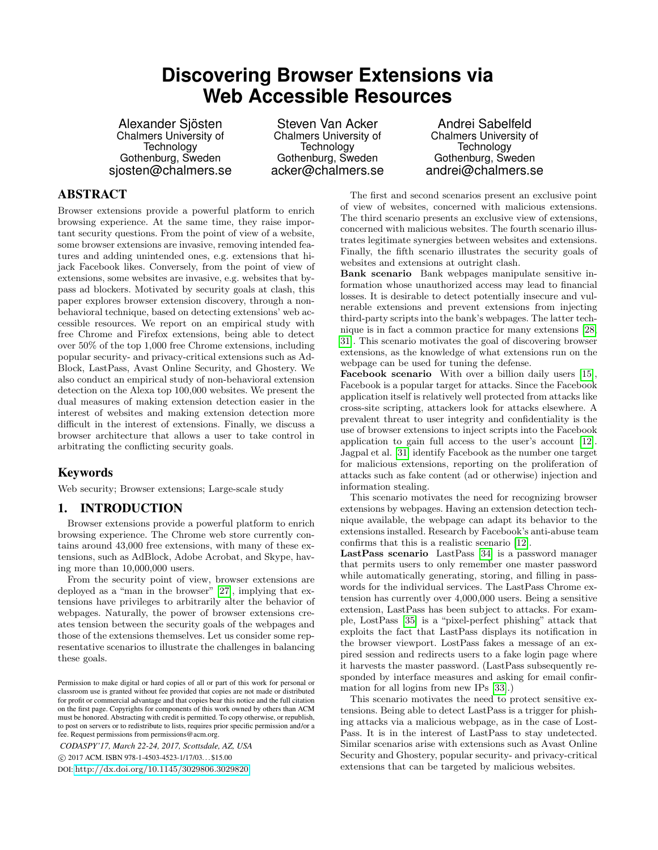# **Discovering Browser Extensions via Web Accessible Resources**

Alexander Sjösten Chalmers University of **Technology** Gothenburg, Sweden sjosten@chalmers.se

Steven Van Acker Chalmers University of **Technology** Gothenburg, Sweden acker@chalmers.se

Andrei Sabelfeld Chalmers University of **Technology** Gothenburg, Sweden andrei@chalmers.se

## ABSTRACT

Browser extensions provide a powerful platform to enrich browsing experience. At the same time, they raise important security questions. From the point of view of a website, some browser extensions are invasive, removing intended features and adding unintended ones, e.g. extensions that hijack Facebook likes. Conversely, from the point of view of extensions, some websites are invasive, e.g. websites that bypass ad blockers. Motivated by security goals at clash, this paper explores browser extension discovery, through a nonbehavioral technique, based on detecting extensions' web accessible resources. We report on an empirical study with free Chrome and Firefox extensions, being able to detect over 50% of the top 1,000 free Chrome extensions, including popular security- and privacy-critical extensions such as Ad-Block, LastPass, Avast Online Security, and Ghostery. We also conduct an empirical study of non-behavioral extension detection on the Alexa top 100,000 websites. We present the dual measures of making extension detection easier in the interest of websites and making extension detection more difficult in the interest of extensions. Finally, we discuss a browser architecture that allows a user to take control in arbitrating the conflicting security goals.

#### Keywords

Web security; Browser extensions; Large-scale study

#### 1. INTRODUCTION

Browser extensions provide a powerful platform to enrich browsing experience. The Chrome web store currently contains around 43,000 free extensions, with many of these extensions, such as AdBlock, Adobe Acrobat, and Skype, having more than 10,000,000 users.

From the security point of view, browser extensions are deployed as a "man in the browser" [\[27\]](#page-7-0), implying that extensions have privileges to arbitrarily alter the behavior of webpages. Naturally, the power of browser extensions creates tension between the security goals of the webpages and those of the extensions themselves. Let us consider some representative scenarios to illustrate the challenges in balancing these goals.

*CODASPY'17, March 22-24, 2017, Scottsdale, AZ, USA* c 2017 ACM. ISBN 978-1-4503-4523-1/17/03. . . \$15.00 DOI: <http://dx.doi.org/10.1145/3029806.3029820>

The first and second scenarios present an exclusive point of view of websites, concerned with malicious extensions. The third scenario presents an exclusive view of extensions, concerned with malicious websites. The fourth scenario illustrates legitimate synergies between websites and extensions. Finally, the fifth scenario illustrates the security goals of websites and extensions at outright clash.

Bank scenario Bank webpages manipulate sensitive information whose unauthorized access may lead to financial losses. It is desirable to detect potentially insecure and vulnerable extensions and prevent extensions from injecting third-party scripts into the bank's webpages. The latter technique is in fact a common practice for many extensions [\[28,](#page-7-1) [31\]](#page-7-2). This scenario motivates the goal of discovering browser extensions, as the knowledge of what extensions run on the webpage can be used for tuning the defense.

Facebook scenario With over a billion daily users [\[15\]](#page-7-3), Facebook is a popular target for attacks. Since the Facebook application itself is relatively well protected from attacks like cross-site scripting, attackers look for attacks elsewhere. A prevalent threat to user integrity and confidentiality is the use of browser extensions to inject scripts into the Facebook application to gain full access to the user's account [\[12\]](#page-7-4). Jagpal et al. [\[31\]](#page-7-2) identify Facebook as the number one target for malicious extensions, reporting on the proliferation of attacks such as fake content (ad or otherwise) injection and information stealing.

This scenario motivates the need for recognizing browser extensions by webpages. Having an extension detection technique available, the webpage can adapt its behavior to the extensions installed. Research by Facebook's anti-abuse team confirms that this is a realistic scenario [\[12\]](#page-7-4).

LastPass scenario LastPass [\[34\]](#page-7-5) is a password manager that permits users to only remember one master password while automatically generating, storing, and filling in passwords for the individual services. The LastPass Chrome extension has currently over 4,000,000 users. Being a sensitive extension, LastPass has been subject to attacks. For example, LostPass [\[35\]](#page-7-6) is a "pixel-perfect phishing" attack that exploits the fact that LastPass displays its notification in the browser viewport. LostPass fakes a message of an expired session and redirects users to a fake login page where it harvests the master password. (LastPass subsequently responded by interface measures and asking for email confirmation for all logins from new IPs [\[33\]](#page-7-7).)

This scenario motivates the need to protect sensitive extensions. Being able to detect LastPass is a trigger for phishing attacks via a malicious webpage, as in the case of Lost-Pass. It is in the interest of LastPass to stay undetected. Similar scenarios arise with extensions such as Avast Online Security and Ghostery, popular security- and privacy-critical extensions that can be targeted by malicious websites.

Permission to make digital or hard copies of all or part of this work for personal or classroom use is granted without fee provided that copies are not made or distributed for profit or commercial advantage and that copies bear this notice and the full citation on the first page. Copyrights for components of this work owned by others than ACM must be honored. Abstracting with credit is permitted. To copy otherwise, or republish, to post on servers or to redistribute to lists, requires prior specific permission and/or a fee. Request permissions from permissions@acm.org.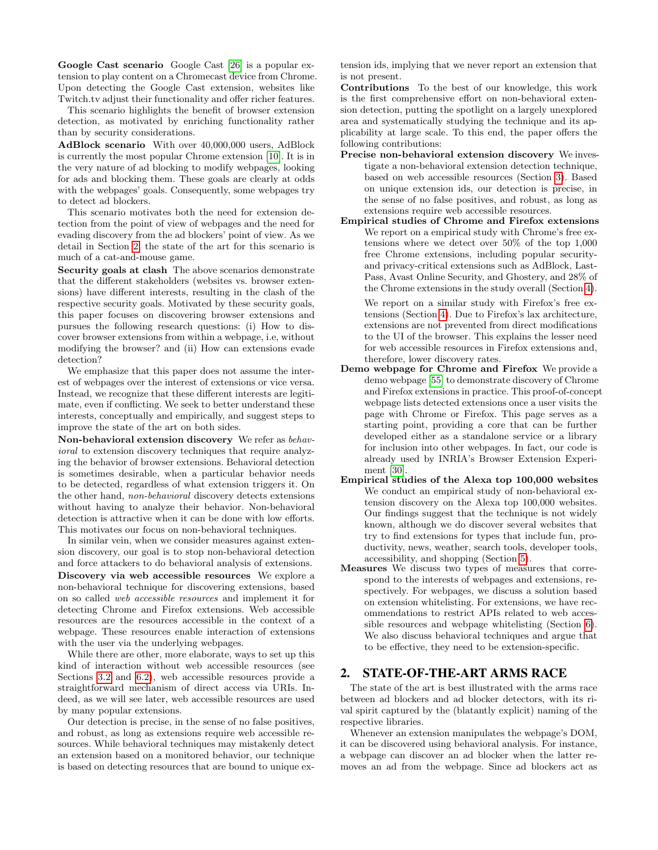Google Cast scenario Google Cast [\[26\]](#page-7-8) is a popular extension to play content on a Chromecast device from Chrome. Upon detecting the Google Cast extension, websites like Twitch.tv adjust their functionality and offer richer features.

This scenario highlights the benefit of browser extension detection, as motivated by enriching functionality rather than by security considerations.

AdBlock scenario With over 40,000,000 users, AdBlock is currently the most popular Chrome extension [\[10\]](#page-7-9). It is in the very nature of ad blocking to modify webpages, looking for ads and blocking them. These goals are clearly at odds with the webpages' goals. Consequently, some webpages try to detect ad blockers.

This scenario motivates both the need for extension detection from the point of view of webpages and the need for evading discovery from the ad blockers' point of view. As we detail in Section [2,](#page-1-0) the state of the art for this scenario is much of a cat-and-mouse game.

Security goals at clash The above scenarios demonstrate that the different stakeholders (websites vs. browser extensions) have different interests, resulting in the clash of the respective security goals. Motivated by these security goals, this paper focuses on discovering browser extensions and pursues the following research questions: (i) How to discover browser extensions from within a webpage, i.e, without modifying the browser? and (ii) How can extensions evade detection?

We emphasize that this paper does not assume the interest of webpages over the interest of extensions or vice versa. Instead, we recognize that these different interests are legitimate, even if conflicting. We seek to better understand these interests, conceptually and empirically, and suggest steps to improve the state of the art on both sides.

Non-behavioral extension discovery We refer as behav*ioral* to extension discovery techniques that require analyzing the behavior of browser extensions. Behavioral detection is sometimes desirable, when a particular behavior needs to be detected, regardless of what extension triggers it. On the other hand, non-behavioral discovery detects extensions without having to analyze their behavior. Non-behavioral detection is attractive when it can be done with low efforts. This motivates our focus on non-behavioral techniques.

In similar vein, when we consider measures against extension discovery, our goal is to stop non-behavioral detection and force attackers to do behavioral analysis of extensions. Discovery via web accessible resources We explore a non-behavioral technique for discovering extensions, based on so called web accessible resources and implement it for detecting Chrome and Firefox extensions. Web accessible resources are the resources accessible in the context of a

webpage. These resources enable interaction of extensions with the user via the underlying webpages. While there are other, more elaborate, ways to set up this kind of interaction without web accessible resources (see Sections [3.2](#page-3-0) and [6.2\)](#page-5-0), web accessible resources provide a straightforward mechanism of direct access via URIs. Indeed, as we will see later, web accessible resources are used

by many popular extensions. Our detection is precise, in the sense of no false positives, and robust, as long as extensions require web accessible resources. While behavioral techniques may mistakenly detect an extension based on a monitored behavior, our technique is based on detecting resources that are bound to unique extension ids, implying that we never report an extension that is not present.

Contributions To the best of our knowledge, this work is the first comprehensive effort on non-behavioral extension detection, putting the spotlight on a largely unexplored area and systematically studying the technique and its applicability at large scale. To this end, the paper offers the following contributions:

- Precise non-behavioral extension discovery We investigate a non-behavioral extension detection technique, based on web accessible resources (Section [3\)](#page-2-0). Based on unique extension ids, our detection is precise, in the sense of no false positives, and robust, as long as extensions require web accessible resources.
- Empirical studies of Chrome and Firefox extensions We report on a empirical study with Chrome's free extensions where we detect over 50% of the top 1,000 free Chrome extensions, including popular securityand privacy-critical extensions such as AdBlock, Last-Pass, Avast Online Security, and Ghostery, and 28% of the Chrome extensions in the study overall (Section [4\)](#page-3-1).

We report on a similar study with Firefox's free extensions (Section [4\)](#page-3-1). Due to Firefox's lax architecture, extensions are not prevented from direct modifications to the UI of the browser. This explains the lesser need for web accessible resources in Firefox extensions and, therefore, lower discovery rates.

- Demo webpage for Chrome and Firefox We provide a demo webpage [\[55\]](#page-7-10) to demonstrate discovery of Chrome and Firefox extensions in practice. This proof-of-concept webpage lists detected extensions once a user visits the page with Chrome or Firefox. This page serves as a starting point, providing a core that can be further developed either as a standalone service or a library for inclusion into other webpages. In fact, our code is already used by INRIA's Browser Extension Experiment [\[30\]](#page-7-11).
- Empirical studies of the Alexa top 100,000 websites We conduct an empirical study of non-behavioral extension discovery on the Alexa top 100,000 websites. Our findings suggest that the technique is not widely known, although we do discover several websites that try to find extensions for types that include fun, productivity, news, weather, search tools, developer tools, accessibility, and shopping (Section [5\)](#page-4-0).
- Measures We discuss two types of measures that correspond to the interests of webpages and extensions, respectively. For webpages, we discuss a solution based on extension whitelisting. For extensions, we have recommendations to restrict APIs related to web accessible resources and webpage whitelisting (Section [6\)](#page-5-1). We also discuss behavioral techniques and argue that to be effective, they need to be extension-specific.

## <span id="page-1-0"></span>2. STATE-OF-THE-ART ARMS RACE

The state of the art is best illustrated with the arms race between ad blockers and ad blocker detectors, with its rival spirit captured by the (blatantly explicit) naming of the respective libraries.

Whenever an extension manipulates the webpage's DOM, it can be discovered using behavioral analysis. For instance, a webpage can discover an ad blocker when the latter removes an ad from the webpage. Since ad blockers act as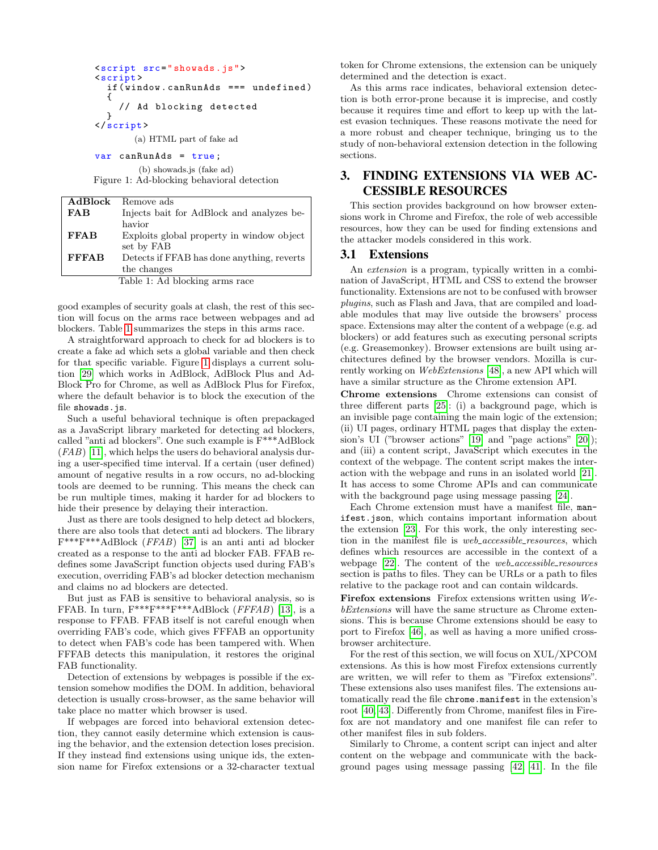```
<script src=" showads .js">
<script >
  if(vindow can RunAds == underined){
    // Ad blocking detected
  }
</ script >
       (a) HTML part of fake ad
```
 $var$  canRunAds =  $true$ ;

(b) showads.js (fake ad) Figure 1: Ad-blocking behavioral detection

<span id="page-2-1"></span>

| AdBlock      | Remove ads                                 |
|--------------|--------------------------------------------|
| FAB          | Injects bait for AdBlock and analyzes be-  |
|              | havior                                     |
| <b>FFAB</b>  | Exploits global property in window object  |
|              | set by FAB                                 |
| <b>FFFAB</b> | Detects if FFAB has done anything, reverts |
|              | the changes                                |
|              | Table 1: Ad blocking arms race             |

Table 1: Ad blocking arms race

good examples of security goals at clash, the rest of this section will focus on the arms race between webpages and ad blockers. Table [1](#page-2-1) summarizes the steps in this arms race.

A straightforward approach to check for ad blockers is to create a fake ad which sets a global variable and then check for that specific variable. Figure [1](#page-2-2) displays a current solution [\[29\]](#page-7-12) which works in AdBlock, AdBlock Plus and Ad-Block Pro for Chrome, as well as AdBlock Plus for Firefox, where the default behavior is to block the execution of the file showads.js.

Such a useful behavioral technique is often prepackaged as a JavaScript library marketed for detecting ad blockers, called "anti ad blockers". One such example is F\*\*\*AdBlock  $(FAB)$  [\[11\]](#page-7-13), which helps the users do behavioral analysis during a user-specified time interval. If a certain (user defined) amount of negative results in a row occurs, no ad-blocking tools are deemed to be running. This means the check can be run multiple times, making it harder for ad blockers to hide their presence by delaying their interaction.

Just as there are tools designed to help detect ad blockers, there are also tools that detect anti ad blockers. The library F\*\*\*F\*\*\*AdBlock (FFAB) [\[37\]](#page-7-14) is an anti anti ad blocker created as a response to the anti ad blocker FAB. FFAB redefines some JavaScript function objects used during FAB's execution, overriding FAB's ad blocker detection mechanism and claims no ad blockers are detected.

But just as FAB is sensitive to behavioral analysis, so is FFAB. In turn,  $F^{***}F^{***}AdBlock$  (*FFFAB*) [\[13\]](#page-7-15), is a response to FFAB. FFAB itself is not careful enough when overriding FAB's code, which gives FFFAB an opportunity to detect when FAB's code has been tampered with. When FFFAB detects this manipulation, it restores the original FAB functionality.

Detection of extensions by webpages is possible if the extension somehow modifies the DOM. In addition, behavioral detection is usually cross-browser, as the same behavior will take place no matter which browser is used.

If webpages are forced into behavioral extension detection, they cannot easily determine which extension is causing the behavior, and the extension detection loses precision. If they instead find extensions using unique ids, the extension name for Firefox extensions or a 32-character textual token for Chrome extensions, the extension can be uniquely determined and the detection is exact.

As this arms race indicates, behavioral extension detection is both error-prone because it is imprecise, and costly because it requires time and effort to keep up with the latest evasion techniques. These reasons motivate the need for a more robust and cheaper technique, bringing us to the study of non-behavioral extension detection in the following sections.

## <span id="page-2-0"></span>3. FINDING EXTENSIONS VIA WEB AC-CESSIBLE RESOURCES

This section provides background on how browser extensions work in Chrome and Firefox, the role of web accessible resources, how they can be used for finding extensions and the attacker models considered in this work.

### <span id="page-2-3"></span>3.1 Extensions

An extension is a program, typically written in a combination of JavaScript, HTML and CSS to extend the browser functionality. Extensions are not to be confused with browser plugins, such as Flash and Java, that are compiled and loadable modules that may live outside the browsers' process space. Extensions may alter the content of a webpage (e.g. ad blockers) or add features such as executing personal scripts (e.g. Greasemonkey). Browser extensions are built using architectures defined by the browser vendors. Mozilla is currently working on WebExtensions [\[48\]](#page-7-16), a new API which will have a similar structure as the Chrome extension API.

Chrome extensions Chrome extensions can consist of three different parts [\[25\]](#page-7-17): (i) a background page, which is an invisible page containing the main logic of the extension; (ii) UI pages, ordinary HTML pages that display the extension's UI ("browser actions" [\[19\]](#page-7-18) and "page actions" [\[20\]](#page-7-19)); and (iii) a content script, JavaScript which executes in the context of the webpage. The content script makes the interaction with the webpage and runs in an isolated world [\[21\]](#page-7-20). It has access to some Chrome APIs and can communicate with the background page using message passing [\[24\]](#page-7-21).

Each Chrome extension must have a manifest file, manifest.json, which contains important information about the extension [\[23\]](#page-7-22). For this work, the only interesting section in the manifest file is *web accessible resources*, which defines which resources are accessible in the context of a webpage [\[22\]](#page-7-23). The content of the *web\_accessible\_resources* section is paths to files. They can be URLs or a path to files relative to the package root and can contain wildcards.

Firefox extensions Firefox extensions written using WebExtensions will have the same structure as Chrome extensions. This is because Chrome extensions should be easy to port to Firefox [\[46\]](#page-7-24), as well as having a more unified crossbrowser architecture.

For the rest of this section, we will focus on XUL/XPCOM extensions. As this is how most Firefox extensions currently are written, we will refer to them as "Firefox extensions". These extensions also uses manifest files. The extensions automatically read the file chrome.manifest in the extension's root [\[40,](#page-7-25) [43\]](#page-7-26). Differently from Chrome, manifest files in Firefox are not mandatory and one manifest file can refer to other manifest files in sub folders.

Similarly to Chrome, a content script can inject and alter content on the webpage and communicate with the background pages using message passing [\[42,](#page-7-27) [41\]](#page-7-28). In the file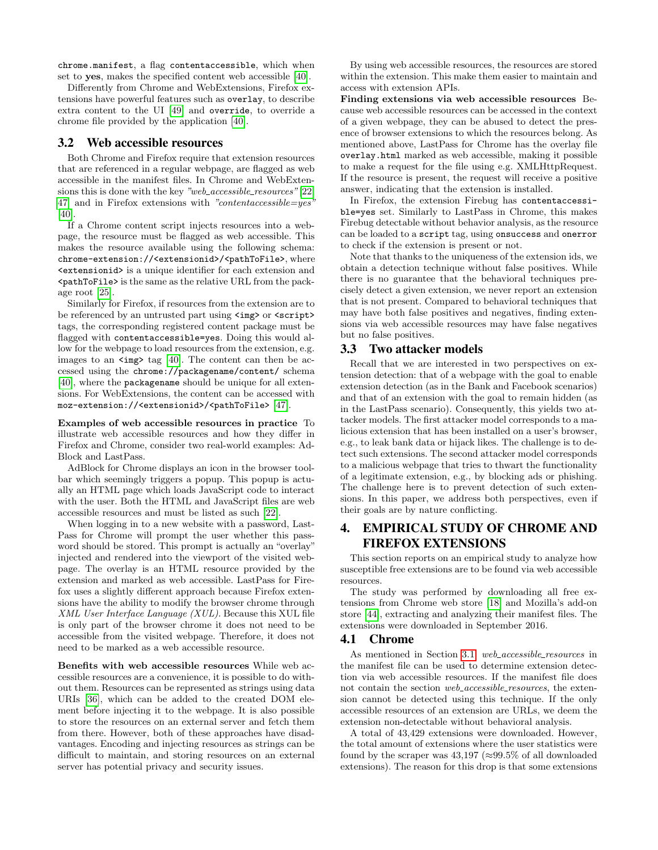chrome.manifest, a flag contentaccessible, which when set to yes, makes the specified content web accessible [\[40\]](#page-7-25).

Differently from Chrome and WebExtensions, Firefox extensions have powerful features such as overlay, to describe extra content to the UI [\[49\]](#page-7-29) and override, to override a chrome file provided by the application [\[40\]](#page-7-25).

#### <span id="page-3-0"></span>3.2 Web accessible resources

Both Chrome and Firefox require that extension resources that are referenced in a regular webpage, are flagged as web accessible in the manifest files. In Chrome and WebExten-sions this is done with the key "web\_accessible\_resources" [\[22,](#page-7-23) [47\]](#page-7-30) and in Firefox extensions with "contentaccessible=yes" [\[40\]](#page-7-25).

If a Chrome content script injects resources into a webpage, the resource must be flagged as web accessible. This makes the resource available using the following schema: chrome-extension://<extensionid>/<pathToFile>, where <extensionid> is a unique identifier for each extension and  $\epsilon$   $\epsilon$   $\rightarrow$   $\epsilon$   $\rightarrow$   $\epsilon$   $\rightarrow$   $\epsilon$   $\rightarrow$   $\epsilon$   $\rightarrow$   $\epsilon$   $\rightarrow$   $\epsilon$   $\rightarrow$   $\epsilon$   $\rightarrow$   $\epsilon$   $\rightarrow$   $\epsilon$   $\rightarrow$   $\epsilon$   $\rightarrow$   $\epsilon$   $\rightarrow$   $\epsilon$   $\rightarrow$   $\epsilon$   $\rightarrow$   $\epsilon$   $\rightarrow$   $\epsilon$   $\rightarrow$   $\epsilon$   $\rightarrow$   $\epsilon$   $\rightarrow$   $\epsilon$   $\rightarrow$   $\epsilon$   $\rightarrow$   $\epsilon$   $\rightarrow$   $\epsilon$  age root [\[25\]](#page-7-17).

Similarly for Firefox, if resources from the extension are to be referenced by an untrusted part using  $\langle \text{img} \rangle$  or  $\langle \text{script} \rangle$ tags, the corresponding registered content package must be flagged with contentaccessible=yes. Doing this would allow for the webpage to load resources from the extension, e.g. images to an  $\langle \text{img} \rangle$  tag [\[40\]](#page-7-25). The content can then be accessed using the chrome://packagename/content/ schema [\[40\]](#page-7-25), where the packagename should be unique for all extensions. For WebExtensions, the content can be accessed with moz-extension://<extensionid>/<pathToFile> [\[47\]](#page-7-30).

Examples of web accessible resources in practice To illustrate web accessible resources and how they differ in Firefox and Chrome, consider two real-world examples: Ad-Block and LastPass.

AdBlock for Chrome displays an icon in the browser toolbar which seemingly triggers a popup. This popup is actually an HTML page which loads JavaScript code to interact with the user. Both the HTML and JavaScript files are web accessible resources and must be listed as such [\[22\]](#page-7-23).

When logging in to a new website with a password, Last-Pass for Chrome will prompt the user whether this password should be stored. This prompt is actually an "overlay" injected and rendered into the viewport of the visited webpage. The overlay is an HTML resource provided by the extension and marked as web accessible. LastPass for Firefox uses a slightly different approach because Firefox extensions have the ability to modify the browser chrome through XML User Interface Language (XUL). Because this XUL file is only part of the browser chrome it does not need to be accessible from the visited webpage. Therefore, it does not need to be marked as a web accessible resource.

Benefits with web accessible resources While web accessible resources are a convenience, it is possible to do without them. Resources can be represented as strings using data URIs [\[36\]](#page-7-31), which can be added to the created DOM element before injecting it to the webpage. It is also possible to store the resources on an external server and fetch them from there. However, both of these approaches have disadvantages. Encoding and injecting resources as strings can be difficult to maintain, and storing resources on an external server has potential privacy and security issues.

By using web accessible resources, the resources are stored within the extension. This make them easier to maintain and access with extension APIs.

Finding extensions via web accessible resources Because web accessible resources can be accessed in the context of a given webpage, they can be abused to detect the presence of browser extensions to which the resources belong. As mentioned above, LastPass for Chrome has the overlay file overlay.html marked as web accessible, making it possible to make a request for the file using e.g. XMLHttpRequest. If the resource is present, the request will receive a positive answer, indicating that the extension is installed.

In Firefox, the extension Firebug has contentaccessible=yes set. Similarly to LastPass in Chrome, this makes Firebug detectable without behavior analysis, as the resource can be loaded to a script tag, using onsuccess and onerror to check if the extension is present or not.

Note that thanks to the uniqueness of the extension ids, we obtain a detection technique without false positives. While there is no guarantee that the behavioral techniques precisely detect a given extension, we never report an extension that is not present. Compared to behavioral techniques that may have both false positives and negatives, finding extensions via web accessible resources may have false negatives but no false positives.

#### 3.3 Two attacker models

Recall that we are interested in two perspectives on extension detection: that of a webpage with the goal to enable extension detection (as in the Bank and Facebook scenarios) and that of an extension with the goal to remain hidden (as in the LastPass scenario). Consequently, this yields two attacker models. The first attacker model corresponds to a malicious extension that has been installed on a user's browser, e.g., to leak bank data or hijack likes. The challenge is to detect such extensions. The second attacker model corresponds to a malicious webpage that tries to thwart the functionality of a legitimate extension, e.g., by blocking ads or phishing. The challenge here is to prevent detection of such extensions. In this paper, we address both perspectives, even if their goals are by nature conflicting.

## <span id="page-3-1"></span>4. EMPIRICAL STUDY OF CHROME AND FIREFOX EXTENSIONS

This section reports on an empirical study to analyze how susceptible free extensions are to be found via web accessible resources.

The study was performed by downloading all free extensions from Chrome web store [\[18\]](#page-7-32) and Mozilla's add-on store [\[44\]](#page-7-33), extracting and analyzing their manifest files. The extensions were downloaded in September 2016.

#### 4.1 Chrome

As mentioned in Section [3.1,](#page-2-3) web\_accessible\_resources in the manifest file can be used to determine extension detection via web accessible resources. If the manifest file does not contain the section web *accessible\_resources*, the extension cannot be detected using this technique. If the only accessible resources of an extension are URLs, we deem the extension non-detectable without behavioral analysis.

A total of 43,429 extensions were downloaded. However, the total amount of extensions where the user statistics were found by the scraper was 43,197 ( $\approx$ 99.5% of all downloaded extensions). The reason for this drop is that some extensions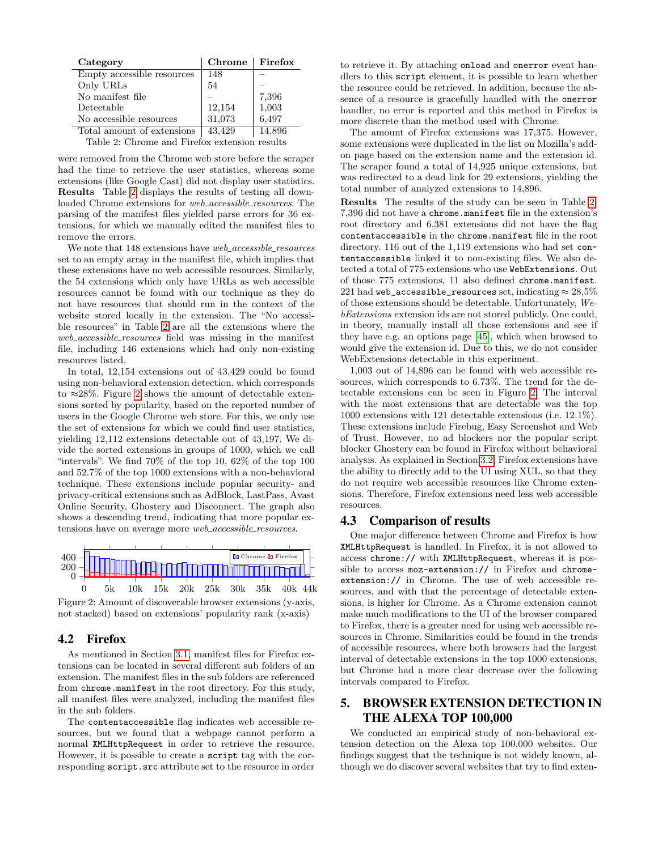<span id="page-4-1"></span>

| Category                                                                                                                                                                                                                                                                                                          | $Chrome$ Firefox |        |
|-------------------------------------------------------------------------------------------------------------------------------------------------------------------------------------------------------------------------------------------------------------------------------------------------------------------|------------------|--------|
| Empty accessible resources                                                                                                                                                                                                                                                                                        | 148              |        |
| Only URLs                                                                                                                                                                                                                                                                                                         | 54               |        |
| No manifest file                                                                                                                                                                                                                                                                                                  |                  | 7,396  |
| Detectable                                                                                                                                                                                                                                                                                                        | 12,154           | 1,003  |
| No accessible resources                                                                                                                                                                                                                                                                                           | 31,073           | 6,497  |
| Total amount of extensions                                                                                                                                                                                                                                                                                        | 43,429           | 14,896 |
| $\mathbb{R}^{11}$ $\mathbb{R}^{11}$ $\mathbb{R}^{11}$ $\mathbb{R}^{11}$ $\mathbb{R}^{11}$ $\mathbb{R}^{11}$ $\mathbb{R}^{11}$ $\mathbb{R}^{11}$ $\mathbb{R}^{11}$ $\mathbb{R}^{11}$ $\mathbb{R}^{11}$ $\mathbb{R}^{11}$ $\mathbb{R}^{11}$ $\mathbb{R}^{11}$ $\mathbb{R}^{11}$ $\mathbb{R}^{11}$ $\mathbb{R}^{11}$ |                  |        |

Table 2: Chrome and Firefox extension results

were removed from the Chrome web store before the scraper had the time to retrieve the user statistics, whereas some extensions (like Google Cast) did not display user statistics. Results Table [2](#page-4-1) displays the results of testing all downloaded Chrome extensions for *web\_accessible\_resources*. The parsing of the manifest files yielded parse errors for 36 extensions, for which we manually edited the manifest files to remove the errors.

We note that 148 extensions have web\_accessible\_resources set to an empty array in the manifest file, which implies that these extensions have no web accessible resources. Similarly, the 54 extensions which only have URLs as web accessible resources cannot be found with our technique as they do not have resources that should run in the context of the website stored locally in the extension. The "No accessible resources" in Table [2](#page-4-1) are all the extensions where the web\_accessible\_resources field was missing in the manifest file, including 146 extensions which had only non-existing resources listed.

In total, 12,154 extensions out of 43,429 could be found using non-behavioral extension detection, which corresponds to  $\approx 28\%$  $\approx 28\%$  $\approx 28\%$ . Figure 2 shows the amount of detectable extensions sorted by popularity, based on the reported number of users in the Google Chrome web store. For this, we only use the set of extensions for which we could find user statistics, yielding 12,112 extensions detectable out of 43,197. We divide the sorted extensions in groups of 1000, which we call "intervals". We find  $70\%$  of the top 10,  $62\%$  of the top 100 and 52.7% of the top 1000 extensions with a non-behavioral technique. These extensions include popular security- and privacy-critical extensions such as AdBlock, LastPass, Avast Online Security, Ghostery and Disconnect. The graph also shows a descending trend, indicating that more popular extensions have on average more web\_accessible\_resources.

<span id="page-4-2"></span>

## 4.2 Firefox

As mentioned in Section [3.1,](#page-2-3) manifest files for Firefox extensions can be located in several different sub folders of an extension. The manifest files in the sub folders are referenced from chrome.manifest in the root directory. For this study, all manifest files were analyzed, including the manifest files in the sub folders.

The contentaccessible flag indicates web accessible resources, but we found that a webpage cannot perform a normal XMLHttpRequest in order to retrieve the resource. However, it is possible to create a script tag with the corresponding script.src attribute set to the resource in order to retrieve it. By attaching onload and onerror event handlers to this script element, it is possible to learn whether the resource could be retrieved. In addition, because the absence of a resource is gracefully handled with the onerror handler, no error is reported and this method in Firefox is more discrete than the method used with Chrome.

The amount of Firefox extensions was 17,375. However, some extensions were duplicated in the list on Mozilla's addon page based on the extension name and the extension id. The scraper found a total of 14,925 unique extensions, but was redirected to a dead link for 29 extensions, yielding the total number of analyzed extensions to 14,896.

Results The results of the study can be seen in Table [2.](#page-4-1) 7,396 did not have a chrome.manifest file in the extension's root directory and 6,381 extensions did not have the flag contentaccessible in the chrome.manifest file in the root directory. 116 out of the 1,119 extensions who had set contentaccessible linked it to non-existing files. We also detected a total of 775 extensions who use WebExtensions. Out of those 775 extensions, 11 also defined chrome.manifest. 221 had web\_accessible\_resources set, indicating  $\approx 28.5\%$ of those extensions should be detectable. Unfortunately, WebExtensions extension ids are not stored publicly. One could, in theory, manually install all those extensions and see if they have e.g. an options page [\[45\]](#page-7-34), which when browsed to would give the extension id. Due to this, we do not consider WebExtensions detectable in this experiment.

1,003 out of 14,896 can be found with web accessible resources, which corresponds to 6.73%. The trend for the detectable extensions can be seen in Figure [2.](#page-4-2) The interval with the most extensions that are detectable was the top 1000 extensions with 121 detectable extensions (i.e. 12.1%). These extensions include Firebug, Easy Screenshot and Web of Trust. However, no ad blockers nor the popular script blocker Ghostery can be found in Firefox without behavioral analysis. As explained in Section [3.2,](#page-3-0) Firefox extensions have the ability to directly add to the UI using XUL, so that they do not require web accessible resources like Chrome extensions. Therefore, Firefox extensions need less web accessible resources.

#### 4.3 Comparison of results

One major difference between Chrome and Firefox is how XMLHttpRequest is handled. In Firefox, it is not allowed to access chrome:// with XMLHttpRequest, whereas it is possible to access moz-extension:// in Firefox and chromeextension:// in Chrome. The use of web accessible resources, and with that the percentage of detectable extensions, is higher for Chrome. As a Chrome extension cannot make much modifications to the UI of the browser compared to Firefox, there is a greater need for using web accessible resources in Chrome. Similarities could be found in the trends of accessible resources, where both browsers had the largest interval of detectable extensions in the top 1000 extensions, but Chrome had a more clear decrease over the following intervals compared to Firefox.

## <span id="page-4-0"></span>5. BROWSER EXTENSION DETECTION IN THE ALEXA TOP 100,000

We conducted an empirical study of non-behavioral extension detection on the Alexa top 100,000 websites. Our findings suggest that the technique is not widely known, although we do discover several websites that try to find exten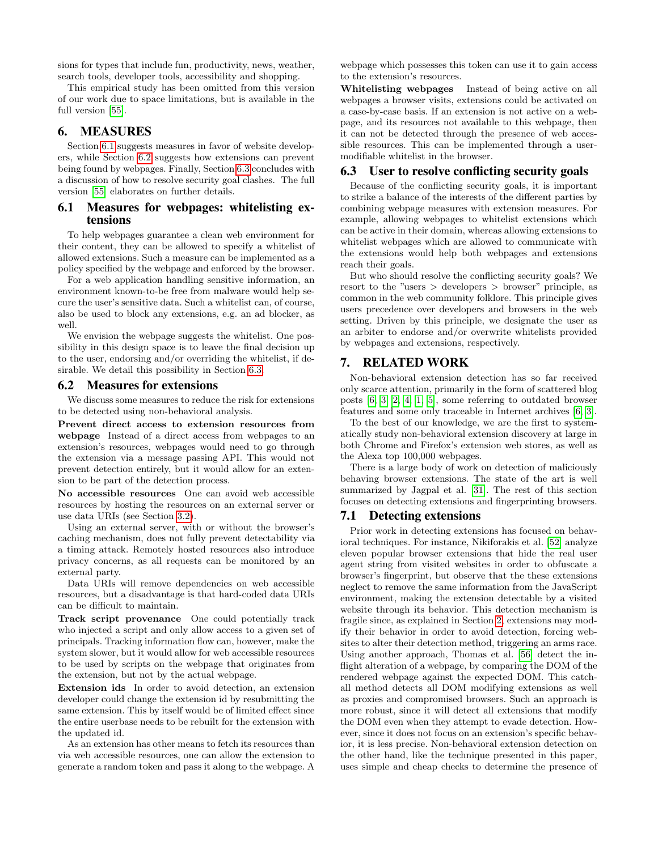sions for types that include fun, productivity, news, weather, search tools, developer tools, accessibility and shopping.

This empirical study has been omitted from this version of our work due to space limitations, but is available in the full version [\[55\]](#page-7-10).

## <span id="page-5-1"></span>6. MEASURES

Section [6.1](#page-5-2) suggests measures in favor of website developers, while Section [6.2](#page-5-0) suggests how extensions can prevent being found by webpages. Finally, Section [6.3](#page-5-3) concludes with a discussion of how to resolve security goal clashes. The full version [\[55\]](#page-7-10) elaborates on further details.

#### <span id="page-5-2"></span>6.1 Measures for webpages: whitelisting extensions

To help webpages guarantee a clean web environment for their content, they can be allowed to specify a whitelist of allowed extensions. Such a measure can be implemented as a policy specified by the webpage and enforced by the browser.

For a web application handling sensitive information, an environment known-to-be free from malware would help secure the user's sensitive data. Such a whitelist can, of course, also be used to block any extensions, e.g. an ad blocker, as well.

We envision the webpage suggests the whitelist. One possibility in this design space is to leave the final decision up to the user, endorsing and/or overriding the whitelist, if desirable. We detail this possibility in Section [6.3.](#page-5-3)

#### <span id="page-5-0"></span>6.2 Measures for extensions

We discuss some measures to reduce the risk for extensions to be detected using non-behavioral analysis.

Prevent direct access to extension resources from webpage Instead of a direct access from webpages to an extension's resources, webpages would need to go through the extension via a message passing API. This would not prevent detection entirely, but it would allow for an extension to be part of the detection process.

No accessible resources One can avoid web accessible resources by hosting the resources on an external server or use data URIs (see Section [3.2\)](#page-3-0).

Using an external server, with or without the browser's caching mechanism, does not fully prevent detectability via a timing attack. Remotely hosted resources also introduce privacy concerns, as all requests can be monitored by an external party.

Data URIs will remove dependencies on web accessible resources, but a disadvantage is that hard-coded data URIs can be difficult to maintain.

Track script provenance One could potentially track who injected a script and only allow access to a given set of principals. Tracking information flow can, however, make the system slower, but it would allow for web accessible resources to be used by scripts on the webpage that originates from the extension, but not by the actual webpage.

Extension ids In order to avoid detection, an extension developer could change the extension id by resubmitting the same extension. This by itself would be of limited effect since the entire userbase needs to be rebuilt for the extension with the updated id.

As an extension has other means to fetch its resources than via web accessible resources, one can allow the extension to generate a random token and pass it along to the webpage. A

webpage which possesses this token can use it to gain access to the extension's resources.

Whitelisting webpages Instead of being active on all webpages a browser visits, extensions could be activated on a case-by-case basis. If an extension is not active on a webpage, and its resources not available to this webpage, then it can not be detected through the presence of web accessible resources. This can be implemented through a usermodifiable whitelist in the browser.

#### <span id="page-5-3"></span>6.3 User to resolve conflicting security goals

Because of the conflicting security goals, it is important to strike a balance of the interests of the different parties by combining webpage measures with extension measures. For example, allowing webpages to whitelist extensions which can be active in their domain, whereas allowing extensions to whitelist webpages which are allowed to communicate with the extensions would help both webpages and extensions reach their goals.

But who should resolve the conflicting security goals? We resort to the "users > developers > browser" principle, as common in the web community folklore. This principle gives users precedence over developers and browsers in the web setting. Driven by this principle, we designate the user as an arbiter to endorse and/or overwrite whitelists provided by webpages and extensions, respectively.

#### 7. RELATED WORK

Non-behavioral extension detection has so far received only scarce attention, primarily in the form of scattered blog posts [\[6,](#page-7-35) [3,](#page-6-0) [2,](#page-6-1) [4,](#page-6-2) [1,](#page-6-3) [5\]](#page-6-4), some referring to outdated browser features and some only traceable in Internet archives [\[6,](#page-7-35) [3\]](#page-6-0).

To the best of our knowledge, we are the first to systematically study non-behavioral extension discovery at large in both Chrome and Firefox's extension web stores, as well as the Alexa top 100,000 webpages.

There is a large body of work on detection of maliciously behaving browser extensions. The state of the art is well summarized by Jagpal et al. [\[31\]](#page-7-2). The rest of this section focuses on detecting extensions and fingerprinting browsers.

## 7.1 Detecting extensions

Prior work in detecting extensions has focused on behavioral techniques. For instance, Nikiforakis et al. [\[52\]](#page-7-36) analyze eleven popular browser extensions that hide the real user agent string from visited websites in order to obfuscate a browser's fingerprint, but observe that the these extensions neglect to remove the same information from the JavaScript environment, making the extension detectable by a visited website through its behavior. This detection mechanism is fragile since, as explained in Section [2,](#page-1-0) extensions may modify their behavior in order to avoid detection, forcing websites to alter their detection method, triggering an arms race. Using another approach, Thomas et al. [\[56\]](#page-7-37) detect the inflight alteration of a webpage, by comparing the DOM of the rendered webpage against the expected DOM. This catchall method detects all DOM modifying extensions as well as proxies and compromised browsers. Such an approach is more robust, since it will detect all extensions that modify the DOM even when they attempt to evade detection. However, since it does not focus on an extension's specific behavior, it is less precise. Non-behavioral extension detection on the other hand, like the technique presented in this paper, uses simple and cheap checks to determine the presence of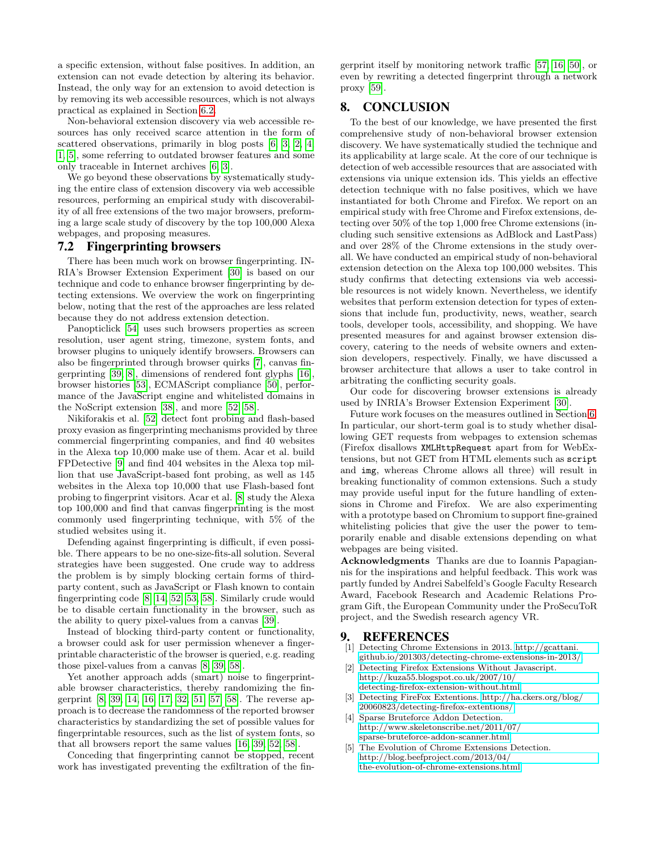a specific extension, without false positives. In addition, an extension can not evade detection by altering its behavior. Instead, the only way for an extension to avoid detection is by removing its web accessible resources, which is not always practical as explained in Section [6.2.](#page-5-0)

Non-behavioral extension discovery via web accessible resources has only received scarce attention in the form of scattered observations, primarily in blog posts [\[6,](#page-7-35) [3,](#page-6-0) [2,](#page-6-1) [4,](#page-6-2) [1,](#page-6-3) [5\]](#page-6-4), some referring to outdated browser features and some only traceable in Internet archives [\[6,](#page-7-35) [3\]](#page-6-0).

We go beyond these observations by systematically studying the entire class of extension discovery via web accessible resources, performing an empirical study with discoverability of all free extensions of the two major browsers, preforming a large scale study of discovery by the top 100,000 Alexa webpages, and proposing measures.

#### 7.2 Fingerprinting browsers

There has been much work on browser fingerprinting. IN-RIA's Browser Extension Experiment [\[30\]](#page-7-11) is based on our technique and code to enhance browser fingerprinting by detecting extensions. We overview the work on fingerprinting below, noting that the rest of the approaches are less related because they do not address extension detection.

Panopticlick [\[54\]](#page-7-38) uses such browsers properties as screen resolution, user agent string, timezone, system fonts, and browser plugins to uniquely identify browsers. Browsers can also be fingerprinted through browser quirks [\[7\]](#page-7-39), canvas fingerprinting [\[39,](#page-7-40) [8\]](#page-7-41), dimensions of rendered font glyphs [\[16\]](#page-7-42), browser histories [\[53\]](#page-7-43), ECMAScript compliance [\[50\]](#page-7-44), performance of the JavaScript engine and whitelisted domains in the NoScript extension [\[38\]](#page-7-45), and more [\[52,](#page-7-36) [58\]](#page-7-46).

Nikiforakis et al. [\[52\]](#page-7-36) detect font probing and flash-based proxy evasion as fingerprinting mechanisms provided by three commercial fingerprinting companies, and find 40 websites in the Alexa top 10,000 make use of them. Acar et al. build FPDetective [\[9\]](#page-7-47) and find 404 websites in the Alexa top million that use JavaScript-based font probing, as well as 145 websites in the Alexa top 10,000 that use Flash-based font probing to fingerprint visitors. Acar et al. [\[8\]](#page-7-41) study the Alexa top 100,000 and find that canvas fingerprinting is the most commonly used fingerprinting technique, with 5% of the studied websites using it.

Defending against fingerprinting is difficult, if even possible. There appears to be no one-size-fits-all solution. Several strategies have been suggested. One crude way to address the problem is by simply blocking certain forms of thirdparty content, such as JavaScript or Flash known to contain fingerprinting code [\[8,](#page-7-41) [14,](#page-7-48) [52,](#page-7-36) [53,](#page-7-43) [58\]](#page-7-46). Similarly crude would be to disable certain functionality in the browser, such as the ability to query pixel-values from a canvas [\[39\]](#page-7-40).

Instead of blocking third-party content or functionality, a browser could ask for user permission whenever a fingerprintable characteristic of the browser is queried, e.g. reading those pixel-values from a canvas [\[8,](#page-7-41) [39,](#page-7-40) [58\]](#page-7-46).

Yet another approach adds (smart) noise to fingerprintable browser characteristics, thereby randomizing the fingerprint [\[8,](#page-7-41) [39,](#page-7-40) [14,](#page-7-48) [16,](#page-7-42) [17,](#page-7-49) [32,](#page-7-50) [51,](#page-7-51) [57,](#page-7-52) [58\]](#page-7-46). The reverse approach is to decrease the randomness of the reported browser characteristics by standardizing the set of possible values for fingerprintable resources, such as the list of system fonts, so that all browsers report the same values [\[16,](#page-7-42) [39,](#page-7-40) [52,](#page-7-36) [58\]](#page-7-46).

Conceding that fingerprinting cannot be stopped, recent work has investigated preventing the exfiltration of the fingerprint itself by monitoring network traffic [\[57,](#page-7-52) [16,](#page-7-42) [50\]](#page-7-44), or even by rewriting a detected fingerprint through a network proxy [\[59\]](#page-7-53).

#### 8. CONCLUSION

To the best of our knowledge, we have presented the first comprehensive study of non-behavioral browser extension discovery. We have systematically studied the technique and its applicability at large scale. At the core of our technique is detection of web accessible resources that are associated with extensions via unique extension ids. This yields an effective detection technique with no false positives, which we have instantiated for both Chrome and Firefox. We report on an empirical study with free Chrome and Firefox extensions, detecting over 50% of the top 1,000 free Chrome extensions (including such sensitive extensions as AdBlock and LastPass) and over 28% of the Chrome extensions in the study overall. We have conducted an empirical study of non-behavioral extension detection on the Alexa top 100,000 websites. This study confirms that detecting extensions via web accessible resources is not widely known. Nevertheless, we identify websites that perform extension detection for types of extensions that include fun, productivity, news, weather, search tools, developer tools, accessibility, and shopping. We have presented measures for and against browser extension discovery, catering to the needs of website owners and extension developers, respectively. Finally, we have discussed a browser architecture that allows a user to take control in arbitrating the conflicting security goals.

Our code for discovering browser extensions is already used by INRIA's Browser Extension Experiment [\[30\]](#page-7-11).

Future work focuses on the measures outlined in Section [6.](#page-5-1) In particular, our short-term goal is to study whether disallowing GET requests from webpages to extension schemas (Firefox disallows XMLHttpRequest apart from for WebExtensions, but not GET from HTML elements such as script and img, whereas Chrome allows all three) will result in breaking functionality of common extensions. Such a study may provide useful input for the future handling of extensions in Chrome and Firefox. We are also experimenting with a prototype based on Chromium to support fine-grained whitelisting policies that give the user the power to temporarily enable and disable extensions depending on what webpages are being visited.

Acknowledgments Thanks are due to Ioannis Papagiannis for the inspirations and helpful feedback. This work was partly funded by Andrei Sabelfeld's Google Faculty Research Award, Facebook Research and Academic Relations Program Gift, the European Community under the ProSecuToR project, and the Swedish research agency VR.

#### 9. REFERENCES

- <span id="page-6-3"></span>[1] Detecting Chrome Extensions in 2013. [http://gcattani.](http://gcattani.github.io/201303/detecting-chrome-extensions-in-2013/) [github.io/201303/detecting-chrome-extensions-in-2013/.](http://gcattani.github.io/201303/detecting-chrome-extensions-in-2013/)
- <span id="page-6-1"></span>[2] Detecting Firefox Extensions Without Javascript. [http://kuza55.blogspot.co.uk/2007/10/](http://kuza55.blogspot.co.uk/2007/10/detecting-firefox-extension-without.html) [detecting-firefox-extension-without.html.](http://kuza55.blogspot.co.uk/2007/10/detecting-firefox-extension-without.html)
- <span id="page-6-0"></span>[3] Detecting FireFox Extentions. [http://ha.ckers.org/blog/](http://ha.ckers.org/blog/20060823/detecting-firefox-extentions/) [20060823/detecting-firefox-extentions/.](http://ha.ckers.org/blog/20060823/detecting-firefox-extentions/)
- <span id="page-6-2"></span>[4] Sparse Bruteforce Addon Detection. [http://www.skeletonscribe.net/2011/07/](http://www.skeletonscribe.net/2011/07/sparse-bruteforce-addon-scanner.html) [sparse-bruteforce-addon-scanner.html.](http://www.skeletonscribe.net/2011/07/sparse-bruteforce-addon-scanner.html)
- <span id="page-6-4"></span>[5] The Evolution of Chrome Extensions Detection. [http://blog.beefproject.com/2013/04/](http://blog.beefproject.com/2013/04/the-evolution-of-chrome-extensions.html) [the-evolution-of-chrome-extensions.html.](http://blog.beefproject.com/2013/04/the-evolution-of-chrome-extensions.html)